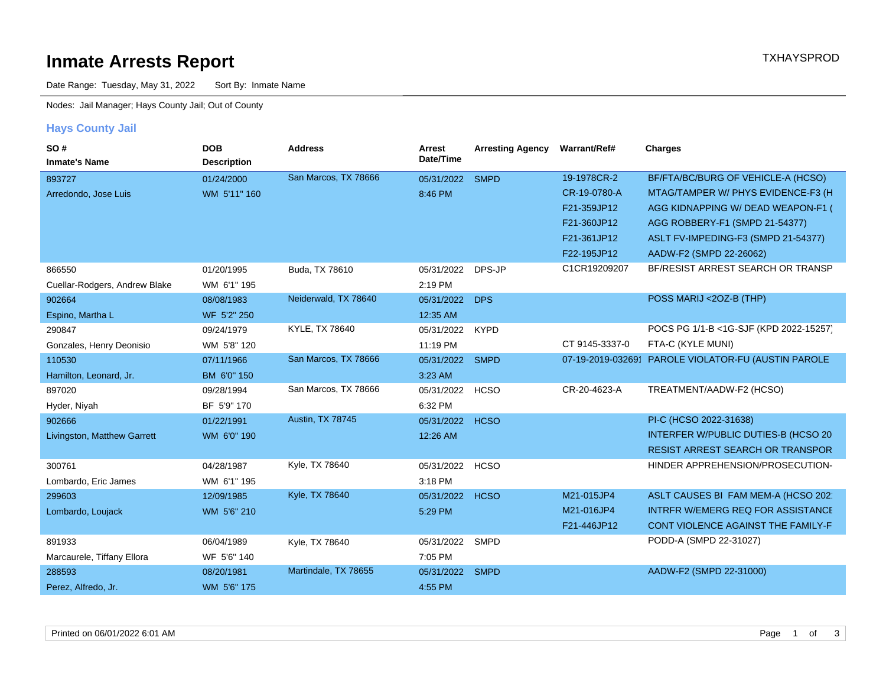# **Inmate Arrests Report TXHAYSPROD Inmate Arrests Report**

Date Range: Tuesday, May 31, 2022 Sort By: Inmate Name

Nodes: Jail Manager; Hays County Jail; Out of County

#### **Hays County Jail**

| SO#<br><b>Inmate's Name</b>   | <b>DOB</b><br><b>Description</b> | <b>Address</b>       | Arrest<br>Date/Time | <b>Arresting Agency</b> | Warrant/Ref#   | <b>Charges</b>                                      |
|-------------------------------|----------------------------------|----------------------|---------------------|-------------------------|----------------|-----------------------------------------------------|
| 893727                        | 01/24/2000                       | San Marcos, TX 78666 | 05/31/2022          | <b>SMPD</b>             | 19-1978CR-2    | BF/FTA/BC/BURG OF VEHICLE-A (HCSO)                  |
| Arredondo, Jose Luis          | WM 5'11" 160                     |                      | 8:46 PM             |                         | CR-19-0780-A   | MTAG/TAMPER W/ PHYS EVIDENCE-F3 (H                  |
|                               |                                  |                      |                     |                         | F21-359JP12    | AGG KIDNAPPING W/ DEAD WEAPON-F1 (                  |
|                               |                                  |                      |                     |                         | F21-360JP12    | AGG ROBBERY-F1 (SMPD 21-54377)                      |
|                               |                                  |                      |                     |                         | F21-361JP12    | ASLT FV-IMPEDING-F3 (SMPD 21-54377)                 |
|                               |                                  |                      |                     |                         | F22-195JP12    | AADW-F2 (SMPD 22-26062)                             |
| 866550                        | 01/20/1995                       | Buda, TX 78610       | 05/31/2022          | DPS-JP                  | C1CR19209207   | BF/RESIST ARREST SEARCH OR TRANSP                   |
| Cuellar-Rodgers, Andrew Blake | WM 6'1" 195                      |                      | 2:19 PM             |                         |                |                                                     |
| 902664                        | 08/08/1983                       | Neiderwald, TX 78640 | 05/31/2022          | <b>DPS</b>              |                | POSS MARIJ <20Z-B (THP)                             |
| Espino, Martha L              | WF 5'2" 250                      |                      | 12:35 AM            |                         |                |                                                     |
| 290847                        | 09/24/1979                       | KYLE, TX 78640       | 05/31/2022          | <b>KYPD</b>             |                | POCS PG 1/1-B <1G-SJF (KPD 2022-15257)              |
| Gonzales, Henry Deonisio      | WM 5'8" 120                      |                      | 11:19 PM            |                         | CT 9145-3337-0 | FTA-C (KYLE MUNI)                                   |
| 110530                        | 07/11/1966                       | San Marcos, TX 78666 | 05/31/2022          | <b>SMPD</b>             |                | 07-19-2019-032691 PAROLE VIOLATOR-FU (AUSTIN PAROLE |
| Hamilton, Leonard, Jr.        | BM 6'0" 150                      |                      | 3:23 AM             |                         |                |                                                     |
| 897020                        | 09/28/1994                       | San Marcos, TX 78666 | 05/31/2022          | <b>HCSO</b>             | CR-20-4623-A   | TREATMENT/AADW-F2 (HCSO)                            |
| Hyder, Niyah                  | BF 5'9" 170                      |                      | 6:32 PM             |                         |                |                                                     |
| 902666                        | 01/22/1991                       | Austin, TX 78745     | 05/31/2022          | <b>HCSO</b>             |                | PI-C (HCSO 2022-31638)                              |
| Livingston, Matthew Garrett   | WM 6'0" 190                      |                      | 12:26 AM            |                         |                | INTERFER W/PUBLIC DUTIES-B (HCSO 20)                |
|                               |                                  |                      |                     |                         |                | <b>RESIST ARREST SEARCH OR TRANSPOR</b>             |
| 300761                        | 04/28/1987                       | Kyle, TX 78640       | 05/31/2022          | <b>HCSO</b>             |                | HINDER APPREHENSION/PROSECUTION-                    |
| Lombardo, Eric James          | WM 6'1" 195                      |                      | 3:18 PM             |                         |                |                                                     |
| 299603                        | 12/09/1985                       | Kyle, TX 78640       | 05/31/2022          | <b>HCSO</b>             | M21-015JP4     | ASLT CAUSES BI FAM MEM-A (HCSO 202                  |
| Lombardo, Loujack             | WM 5'6" 210                      |                      | 5:29 PM             |                         | M21-016JP4     | <b>INTRFR W/EMERG REQ FOR ASSISTANCE</b>            |
|                               |                                  |                      |                     |                         | F21-446JP12    | CONT VIOLENCE AGAINST THE FAMILY-F                  |
| 891933                        | 06/04/1989                       | Kyle, TX 78640       | 05/31/2022          | SMPD                    |                | PODD-A (SMPD 22-31027)                              |
| Marcaurele, Tiffany Ellora    | WF 5'6" 140                      |                      | 7:05 PM             |                         |                |                                                     |
| 288593                        | 08/20/1981                       | Martindale, TX 78655 | 05/31/2022          | <b>SMPD</b>             |                | AADW-F2 (SMPD 22-31000)                             |
| Perez, Alfredo, Jr.           | WM 5'6" 175                      |                      | 4:55 PM             |                         |                |                                                     |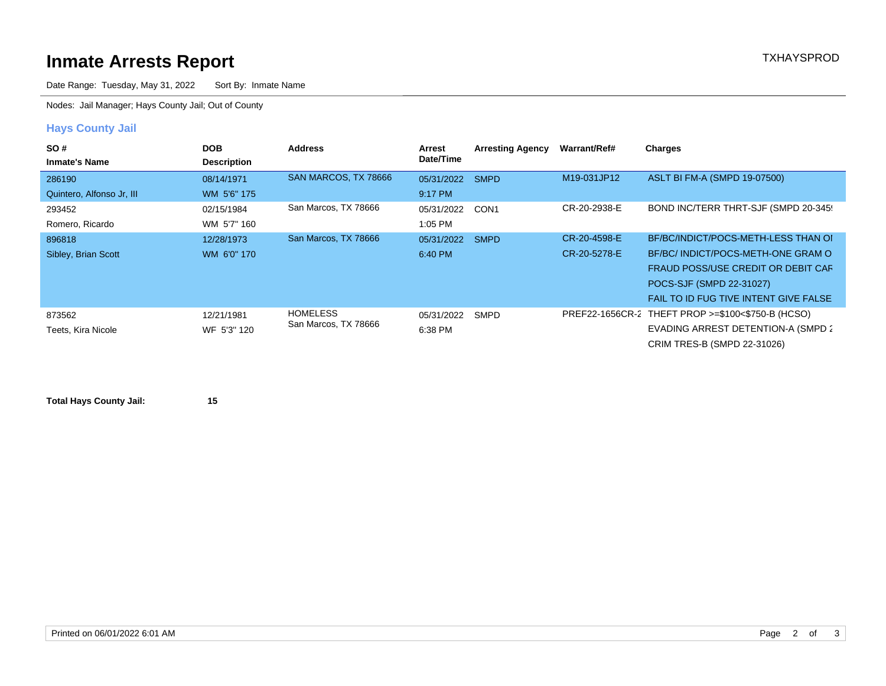# **Inmate Arrests Report TXHAYSPROD Inmate Arrests Report**

Date Range: Tuesday, May 31, 2022 Sort By: Inmate Name

Nodes: Jail Manager; Hays County Jail; Out of County

### **Hays County Jail**

| SO#<br><b>Inmate's Name</b> | <b>DOB</b><br><b>Description</b> | <b>Address</b>                          | Arrest<br>Date/Time | <b>Arresting Agency</b> | Warrant/Ref# | <b>Charges</b>                                    |
|-----------------------------|----------------------------------|-----------------------------------------|---------------------|-------------------------|--------------|---------------------------------------------------|
| 286190                      | 08/14/1971                       | SAN MARCOS, TX 78666                    | 05/31/2022 SMPD     |                         | M19-031JP12  | ASLT BI FM-A (SMPD 19-07500)                      |
| Quintero, Alfonso Jr, III   | WM 5'6" 175                      |                                         | 9:17 PM             |                         |              |                                                   |
| 293452                      | 02/15/1984                       | San Marcos, TX 78666                    | 05/31/2022          | CON1                    | CR-20-2938-E | BOND INC/TERR THRT-SJF (SMPD 20-345)              |
| Romero, Ricardo             | WM 5'7" 160                      |                                         | 1:05 PM             |                         |              |                                                   |
| 896818                      | 12/28/1973                       | San Marcos, TX 78666                    | 05/31/2022 SMPD     |                         | CR-20-4598-E | BF/BC/INDICT/POCS-METH-LESS THAN OI               |
| Sibley, Brian Scott         | WM 6'0" 170                      |                                         | 6:40 PM             |                         | CR-20-5278-E | BF/BC/ INDICT/POCS-METH-ONE GRAM O                |
|                             |                                  |                                         |                     |                         |              | FRAUD POSS/USE CREDIT OR DEBIT CAR                |
|                             |                                  |                                         |                     |                         |              | POCS-SJF (SMPD 22-31027)                          |
|                             |                                  |                                         |                     |                         |              | FAIL TO ID FUG TIVE INTENT GIVE FALSE             |
| 873562                      | 12/21/1981                       | <b>HOMELESS</b><br>San Marcos, TX 78666 | 05/31/2022 SMPD     |                         |              | PREF22-1656CR-2 THEFT PROP >=\$100<\$750-B (HCSO) |
| Teets, Kira Nicole          | WF 5'3" 120                      |                                         | 6:38 PM             |                         |              | EVADING ARREST DETENTION-A (SMPD 2)               |
|                             |                                  |                                         |                     |                         |              | CRIM TRES-B (SMPD 22-31026)                       |

**Total Hays County Jail: 15**